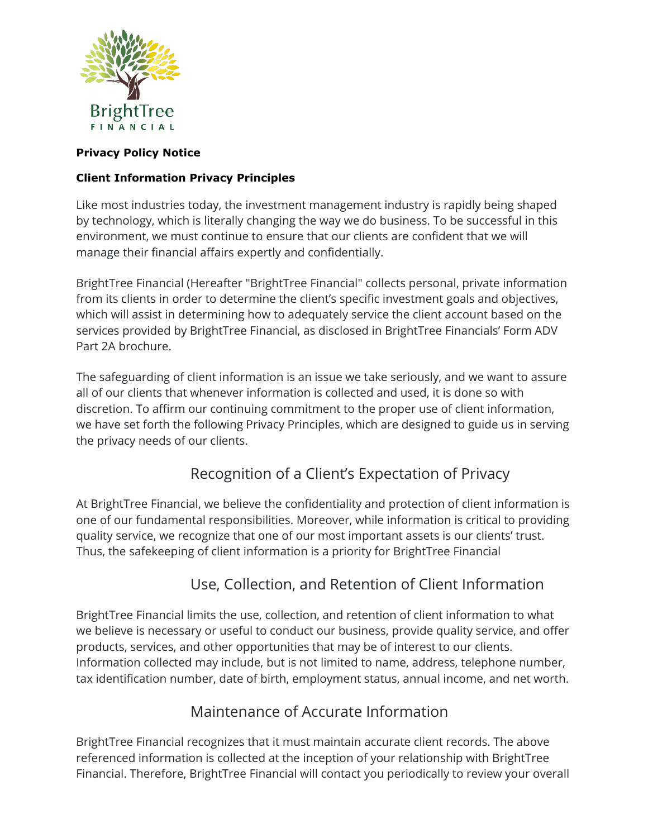

#### **Privacy Policy Notice**

### **Client Information Privacy Principles**

Like most industries today, the investment management industry is rapidly being shaped by technology, which is literally changing the way we do business. To be successful in this environment, we must continue to ensure that our clients are confident that we will manage their financial affairs expertly and confidentially.

BrightTree Financial (Hereafter "BrightTree Financial" collects personal, private information from its clients in order to determine the client's specific investment goals and objectives, which will assist in determining how to adequately service the client account based on the services provided by BrightTree Financial, as disclosed in BrightTree Financials' Form ADV Part 2A brochure.

The safeguarding of client information is an issue we take seriously, and we want to assure all of our clients that whenever information is collected and used, it is done so with discretion. To affirm our continuing commitment to the proper use of client information, we have set forth the following Privacy Principles, which are designed to guide us in serving the privacy needs of our clients.

## Recognition of a Client's Expectation of Privacy

At BrightTree Financial, we believe the confidentiality and protection of client information is one of our fundamental responsibilities. Moreover, while information is critical to providing quality service, we recognize that one of our most important assets is our clients' trust. Thus, the safekeeping of client information is a priority for BrightTree Financial

### Use, Collection, and Retention of Client Information

BrightTree Financial limits the use, collection, and retention of client information to what we believe is necessary or useful to conduct our business, provide quality service, and offer products, services, and other opportunities that may be of interest to our clients. Information collected may include, but is not limited to name, address, telephone number, tax identification number, date of birth, employment status, annual income, and net worth.

### Maintenance of Accurate Information

BrightTree Financial recognizes that it must maintain accurate client records. The above referenced information is collected at the inception of your relationship with BrightTree Financial. Therefore, BrightTree Financial will contact you periodically to review your overall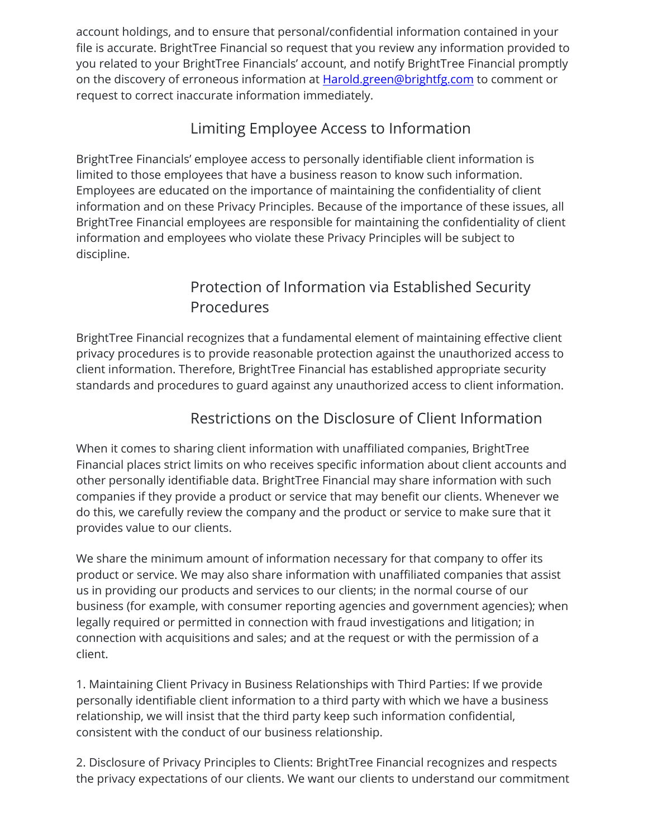account holdings, and to ensure that personal/confidential information contained in your file is accurate. BrightTree Financial so request that you review any information provided to you related to your BrightTree Financials' account, and notify BrightTree Financial promptly on the discovery of erroneous information at **Harold.green@brightfg.com** to comment or request to correct inaccurate information immediately.

# Limiting Employee Access to Information

BrightTree Financials' employee access to personally identifiable client information is limited to those employees that have a business reason to know such information. Employees are educated on the importance of maintaining the confidentiality of client information and on these Privacy Principles. Because of the importance of these issues, all BrightTree Financial employees are responsible for maintaining the confidentiality of client information and employees who violate these Privacy Principles will be subject to discipline.

# Protection of Information via Established Security Procedures

BrightTree Financial recognizes that a fundamental element of maintaining effective client privacy procedures is to provide reasonable protection against the unauthorized access to client information. Therefore, BrightTree Financial has established appropriate security standards and procedures to guard against any unauthorized access to client information.

# Restrictions on the Disclosure of Client Information

When it comes to sharing client information with unaffiliated companies, BrightTree Financial places strict limits on who receives specific information about client accounts and other personally identifiable data. BrightTree Financial may share information with such companies if they provide a product or service that may benefit our clients. Whenever we do this, we carefully review the company and the product or service to make sure that it provides value to our clients.

We share the minimum amount of information necessary for that company to offer its product or service. We may also share information with unaffiliated companies that assist us in providing our products and services to our clients; in the normal course of our business (for example, with consumer reporting agencies and government agencies); when legally required or permitted in connection with fraud investigations and litigation; in connection with acquisitions and sales; and at the request or with the permission of a client.

1. Maintaining Client Privacy in Business Relationships with Third Parties: If we provide personally identifiable client information to a third party with which we have a business relationship, we will insist that the third party keep such information confidential, consistent with the conduct of our business relationship.

2. Disclosure of Privacy Principles to Clients: BrightTree Financial recognizes and respects the privacy expectations of our clients. We want our clients to understand our commitment